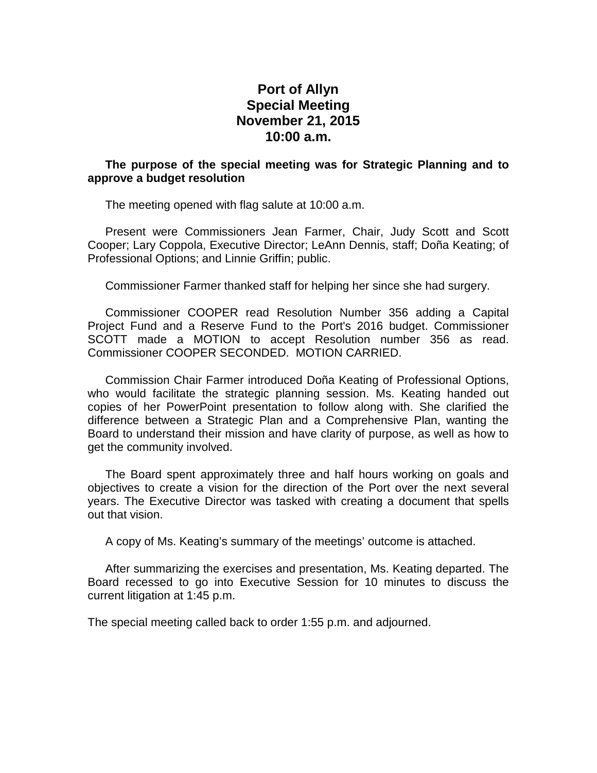## **Port of Allyn Special Meeting November 21, 2015 10:00 a.m.**

## **The purpose of the special meeting was for Strategic Planning and to approve a budget resolution**

The meeting opened with flag salute at 10:00 a.m.

Present were Commissioners Jean Farmer, Chair, Judy Scott and Scott Cooper; Lary Coppola, Executive Director; LeAnn Dennis, staff; Doña Keating; of Professional Options; and Linnie Griffin; public.

Commissioner Farmer thanked staff for helping her since she had surgery.

Commissioner COOPER read Resolution Number 356 adding a Capital Project Fund and a Reserve Fund to the Port's 2016 budget. Commissioner SCOTT made a MOTION to accept Resolution number 356 as read. Commissioner COOPER SECONDED. MOTION CARRIED.

Commission Chair Farmer introduced Doña Keating of Professional Options, who would facilitate the strategic planning session. Ms. Keating handed out copies of her PowerPoint presentation to follow along with. She clarified the difference between a Strategic Plan and a Comprehensive Plan, wanting the Board to understand their mission and have clarity of purpose, as well as how to get the community involved.

The Board spent approximately three and half hours working on goals and objectives to create a vision for the direction of the Port over the next several years. The Executive Director was tasked with creating a document that spells out that vision.

A copy of Ms. Keating's summary of the meetings' outcome is attached.

After summarizing the exercises and presentation, Ms. Keating departed. The Board recessed to go into Executive Session for 10 minutes to discuss the current litigation at 1:45 p.m.

The special meeting called back to order 1:55 p.m. and adjourned.